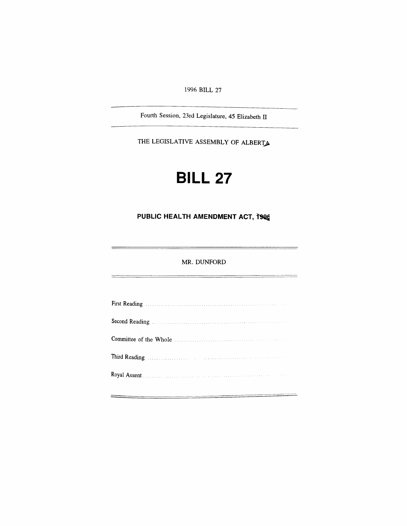*1996 BILL 27*

*Fourth Session, 23rd Legislature, 45 Elizabeth II*

*THE LEGISLATIVE ASSEMBLY OF ALBERTA*

# *BILL 27*

# *PUBLIC HEALTH AMENDMENT ACT, 1996*

### *MR. DUNFORD*

| First Reading Manual Communication of the Reading Communication of the Reading Communication of the Reading Communication of the Reading Communication of the Reading Communication of the Reading Communication of the Readin |  |
|--------------------------------------------------------------------------------------------------------------------------------------------------------------------------------------------------------------------------------|--|
| Second Reading Manual Communications and Reading Manual Communications of the Second Reading                                                                                                                                   |  |
|                                                                                                                                                                                                                                |  |
|                                                                                                                                                                                                                                |  |
|                                                                                                                                                                                                                                |  |
|                                                                                                                                                                                                                                |  |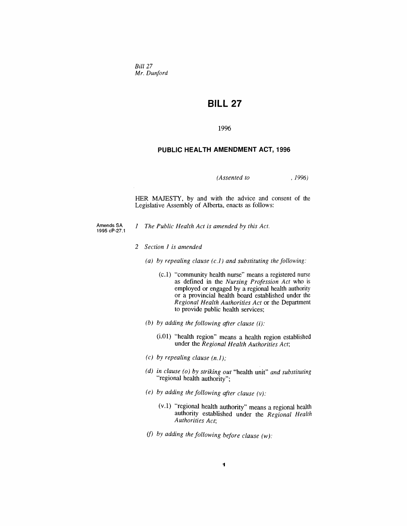*Bill 27 Mr. Dunford*

# *BILL 27*

*1996*

#### *PUBLIC HEALTH AMENDMENT ACT, 1996*

*(Assented to , 1996)*

*HER MAJESTY, by and with the advice and consent of the Legislative Assembly of Alberta, enacts as follows:*

- *Amends SA 1995 cP-27.1*
	- *<sup>1</sup> The Public Health Act is amended by this Act.*
	- *2 Section <sup>1</sup> is amended*
		- *(a) by repealing clause (c.1) and substituting the following:*
			- *(c.1) "community health nurse" means a registered nurse as defined in the Nursing Profession Act who is employed or engaged by a regional health authority or a provincial health board established under the Regional Health Authorities Act or the Department to provide public health services;*
		- *(b) by adding the following after clause (i):*
			- *(i.01) "health region" means a health region established under the Regional Health Authorities Act;*
		- *(c) by repealing clause (n.1);*
		- *(d) in clause (o) by striking out "health unit" and substituting "regional health authority";*
		- *(e) by adding the following after clause (v):*
			- *(v.1) "regional health authority" means a regional health authority established under the Regional Health Authorities Act;*
		- *(f) by adding the following before clause (w):*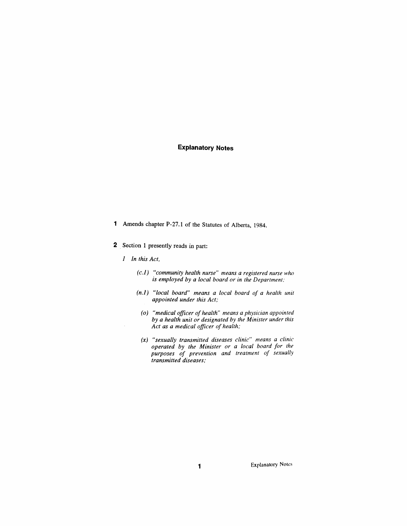# *Explanatory Notes*

- *<sup>1</sup> Amends chapter P-27.1 of the Statutes of Alberta, 1984.*
- *2 Section <sup>1</sup> presently reads in part:*
	- *<sup>1</sup> In this Act,*
		- *(c.1) "community health nurse" means a registered nurse who is employed by a local board or in the Department;*
		- *(n.1) "local board" means a local board of a health unit appointed under this Act;*
			- *(o) "medical officer ofhealth" means a physician appointed by a health unit or designated by the Minister under this Act as a medical officer of health;*
			- *(x) "sexually transmitted diseases clinic" means a clinic operated by the Minister or a local board for the purposes of prevention and treatment of sexually transmitted diseases;*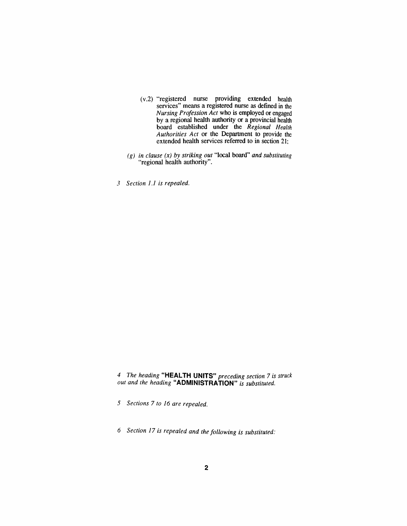- *(v.2) "registered nurse providing extended health services" means a registered nurse as defined in the Nursing Profession Act who is employed or engaged by a regional health authority or a provincial health board established under the Regional Health Authorities Act or the Department to provide the extended health services referred to in section 21;*
- *(g) in clause (x) by striking out "local board" and substituting "regional health authority".*
- *3 Section 1.1 is repealed.*

*4 The heading "HEALTH UNITS" preceding section 7 is struck out and the heading "ADMINISTRATION" is substituted.*

*5 Sections 7 to 16 are repealed.*

*6 Section 17 is repealed and the following is substituted:*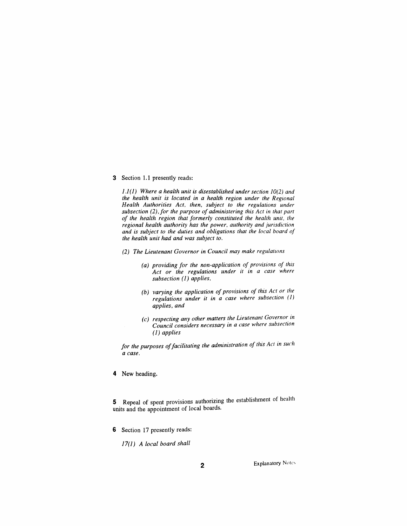*3 Section 1.1 presently reads:*

*1.1(1) Where a health unit is disestablished under section 10(2) and the health unit is located in a health region under the Regional Health Authorities Act, then, subject to the regulations under subsection (2), for the purpose of administering this Act in that part of the health region that formerly constituted the health unit, the regional health authority has the power, authority and jurisdiction and is subject to the duties and obligations that the local board of the health unit had and was subject to.*

- *(2) The Lieutenant Governor in Council may make regulations*
	- *(a) providing for the non-application of provisions of this Act or the regulations under it in a case where subsection (1) applies,*
	- *(b) varying the application of provisions of this Act or the regulations under it in a case where subsection (1) applies, and*
	- *(c) respecting any other matters the Lieutenant Governor in Council considers necessary in a case where subsection (1) applies*

*for the purposes offacilitating the administration of this Act in suc<sup>h</sup> a case.*

*4 New heading.*

*5 Repeal of spent provisions authorizing the establishment of health units and the appointment of local boards.*

*6 Section 17 presently reads:*

*17(1) A local board shall*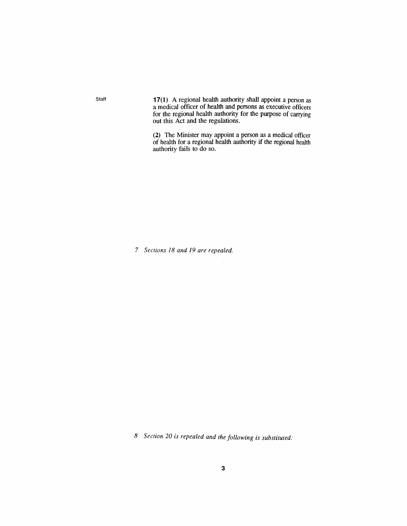*Staff 17(1) A regional health authority shall appoint a person as a medical officer of health and persons as executive officers for the regional health authority for the purpose of carrying out this Act and the regulations.*

> *(2) The Minister may appoint a person as a medical officer of health for a regional health authority if the regional health authority fails to do so.*

*7 Sections 18 and 19 are repealed.*

*8 Section 20 is repealed and the following is substituted:*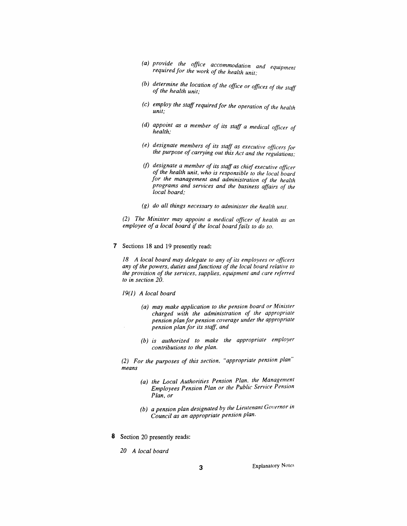- *(a) provide the office accommodation and equipment requiredfor the work of the health unit;*
- *(b) determine the location of the office or offices of the staff <sup>o</sup>f the health unit;*
- *(c) employ the staff requiredfor the operation of the health unit;*
- *(d) appoint as a member of its staff a medical officer of health;*
- *(e) designate members of its staff as executive officers for the purpose of carrying out this Act and the regulations;*
- *(f) designate a member of its staff as chief executive officer of the health unit, who is responsible to the local board for the management and administration of the health programs and services and the business affairs of the local board;*
- *(g) do all things necessary to administer the health unit.*

*(2) The Minister may appoint a medical officer of health as an employee of a local board if the local boardfails to do so.*

*7 Sections 18 and 19 presently read:*

*18 A local board may delegate to any of its employees or officers any ofthe powers, duties andfunctions of the local board relative to the provision of the services, supplies, equipment and care referred to in section 20.*

- *19(1) A local board*
	- *(a) may make application to the pension board or Minister charged with the administration of the appropriate pension plan for pension coverage under the appropriate pension plan for its staff, and*
	- *(b) is authorized to make the appropriate employer contributions to the plan.*

*(2) For the purposes of this section, "appropriate pension plan" means*

- *(a) the Local Authorities Pension Plan, the Management Employees Pension Plan or the Public Service Pension Plan, or*
- *(b) a pension plan designated by the Lieutenant Governor in Council as an appropriate pension plan.*
- *8 Section 20 presently reads:*
	- *20 A local board*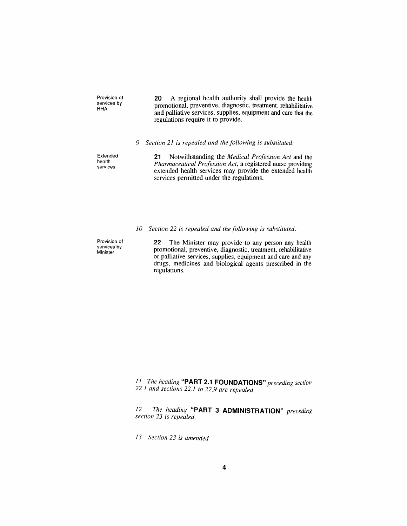*Provision of services by RHA*

*20 A regional health authority shall provide the health promotional, preventive, diagnostic, treatment, rehabilitative and palliative services, supplies, equipment and care that the regulations require it to provide.*

#### *9 Section 21 is repealed and the following is substituted:*

*Extended health services*

*21 Notwithstanding the Medical Profession Act and the Pharmaceutical Profession Act, a registered nurse providing extended health services may provide the extended health services permitted under the regulations.*

## *10 Section 22 is repealed and the following is substituted:*

*Provision of services by Minister*

*22 The Minister may provide to any person any health promotional, preventive, diagnostic, treatment, rehabilitative or palliative services, supplies, equipment and care and any drugs, medicines and biological agents prescribed in the regulations.*

*11 The heading "PART 2.1 FOUNDATIONS" preceding section 22.1 and sections 22.1 to 22.9 are repealed.*

*12 The heading "PART 3 ADMINISTRATION" preceding section 23 is repealed.*

*13 Section 23 is amended*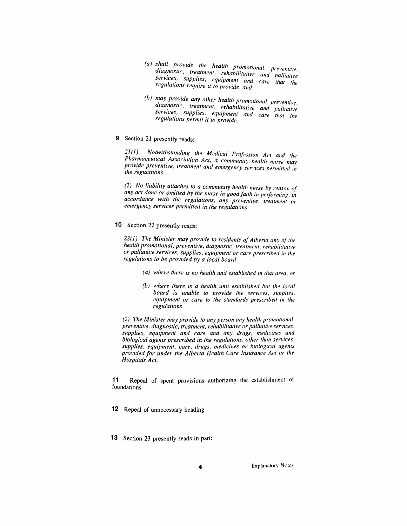- *(a) shall provide the health promotional, preventive, <sup>d</sup>iagnostic, treatment, rehabi<sup>l</sup>itative and palliative services, supplies, equipment and care that the regulations require it to provide, and*
- *(b) may provide any other health promotional, preventive diagnostic, treatment, rehabilitative and palliative services, supplies, equipment and care that the regulations permit it to provide.*
- *9 Section 21 presently reads:*

*21(1) Notwithstanding the Medical Profession Act and the Pharmaceutical Association Act, a community health nurse may provide preventive, treatment and emergency services permitted in the regulations.*

*(2) No liability attaches to a community health nurse by reason of any act done or omitted by the nurse in goodfaith in performing, in accordance with the regulations, any preventive, treatment or emergency services permitted in the regulations.*

*10 Section 22 presently reads:*

*22(1) The Minister may provide to residents ofAlberta any of the health promotional, preventive, diagnostic, treatment, rehabilitative or palliative services, supplies, equipment or care prescribed in the regulations to be provided by a local board*

- *(a) where there is no health unit established in that area, or*
- *(b) where there is a health unit established but the local board is unable to provide the services, supplies, equipment or care to the standards prescribed in the regulations.*

*(2) The Minister may provide to any person any health promotional, preventive, diagnostic, treatment, rehabilitative or palliative services, supplies, equipment and care and any drugs, medicines and biological agents prescribed in the regulations, other than services, supplies, equipment, care, drugs, medicines or biological agents provided for under the Alberta Health Care Insurance Act or the Hospitals Act.*

*11 Repeal of spent provisions authorizing the establishment of foundations.*

- *12 Repeal of unnecessary heading.*
- *13 Section 23 presently reads in part:*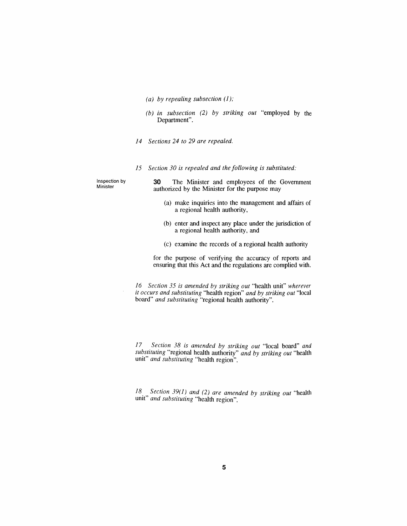- *(a) by repealing subsection (1);*
- *(b) in subsection (2) by striking out "employed by the Department".*
- *14 Sections 24 to 29 are repealed.*
- *15 Section 30 is repealed and the following is substituted:*

*Inspection by Minister*

*30 The Minister and employees of the Government authorized by the Minister for the purpose may*

- *(a) make inquiries into the management and affairs of a regional health authority,*
- *(b) enter and inspect any place under the jurisdiction of a regional health authority, and*
- *(c) examine the records of a regional health authority*

*for the purpose of verifying the accuracy of reports and ensuring that this Act and the regulations are complied with.*

*16 Section 35 is amended by striking out "health unit" wherever it occurs and substituting "health region" and by striking out "local board" and substituting "regional health authority".*

*17 Section 38 is amended by striking out "local board" and substituting "regional health authority" and by striking out "health unit" and substituting "health region".*

*18 Section 39(1) and (2) are amended by striking out "health unit" and substituting "health region".*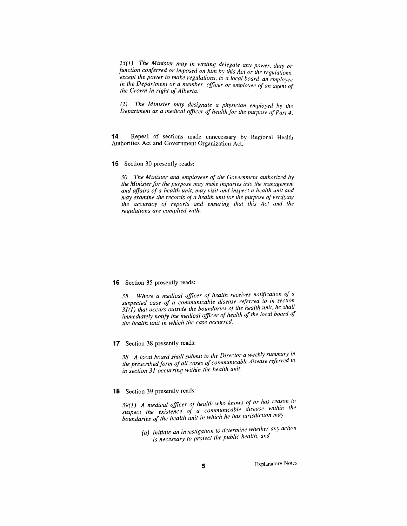*23(1) The Minister may in writing delegate any power, duty or function conferred or imposed on him by this Act or the regulations, except the power to make regulations, to a local board, an employee in the Department or a member, officer or employee of an agent of the Crown in right ofAlberta.*

*(2) The Minister may designate a physician employed by the Department as a medical officer of health for the purpose ofPart 4.*

*14 Repeal of sections made unnecessary by Regional Health Authorities Act and Government Organization Act.*

*15 Section 30 presently reads:*

*30 The Minister and employees of the Government authorized by the Ministerfor the purpose may make inquiries into the management and affairs of a health unit, may visit and inspect a health unit and may examine the records of a health unitfor the purpose of verifying the accuracy of reports and ensuring that this Act and the regulations are complied with.*

#### *16 Section 35 presently reads:*

*35 Where a medical officer of health receives notification of <sup>a</sup> suspected case of a communicable disease referred to in section 31(1) that occurs outside the boundaries of the health unit, he shall immediately notify the medical officer of health of the local board of the health unit in which the case occurred.*

*17 Section 38 presently reads:*

*38 A local board shall submit to the Director a weekly summary in the prescribedform ofall cases of communicable disease referred to in section 31 occurring within the health unit.*

#### *18 Section 39 presently reads:*

*39(1) A medical officer of health who knows of or has reason to suspect the existence of a communicable disease within <sup>t</sup>he boundaries of the health unit in which he has jurisdiction may*

*(a) initiate an investigation to determine whether any action is necessary to protect the public health, and*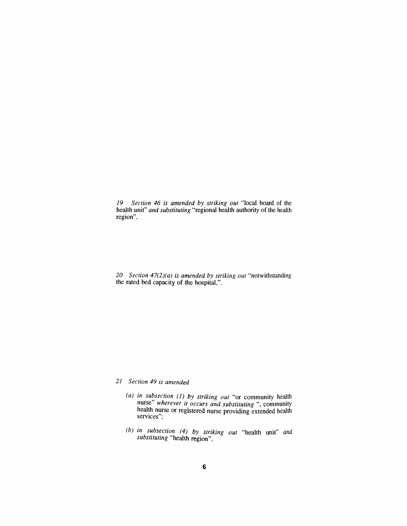*19 Section 46 is amended by striking out "local board of the health unit" and substituting "regional health authority of the health region".*

*20 Section 47(2)(a) is amended by striking out "notwithstanding the rated bed capacity of the hospital,".*

## *21 Section 49 is amended*

- *(a) in subsection (1) by striking out "or community health nurse" wherever it occurs and substituting ", community health nurse or registered nurse providing extended health services";*
- *(b) in subsection (4) by striking out "health unit" and substituting "health region".*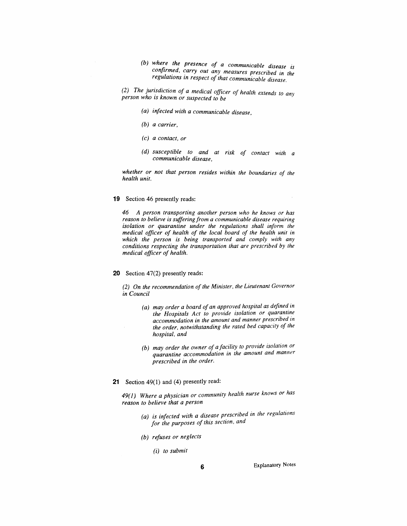- *(b) where the presence of a communicable disease is confirmed, carry out any measures prescribed in the regulations in respect of that communicable disease.*
- *(2) The jurisdiction of a medical officer of health extends to any person who is known or suspected to be*
	- *(a) infected with a communicable disease,*
	- *(b) a carrier,*
	- *(c) a contact, or*
	- *(d) susceptible to and at risk of contact with a communicable disease,*

*whether or not that person resides within the boundaries of the health unit.*

*19 Section 46 presently reads:*

*46 A person transporting another person who he knows or has reason to believe is sufferingfrom a communicable disease requiring isolation or quarantine under the regulations shall inform the medical officer of health of the local board of the health unit in which the person is being transported and comply with any conditions respecting the transportation that are prescribed by the medical officer of health.*

*20 Section 47(2) presently reads:*

*(2) On the recommendation ofthe Minister, the Lieutenant Governor in Council*

- *(a) may order a board of an approved hospital as defined in the Hospitals Act to provide isolation or quarantine accommodation in the amount and manner prescribed in the order, notwithstanding the rated bed capacity of the hospital, and*
- *(b) may order the owner of a facility to provide isolation or quarantine accommodation in the amount and manner prescribed in the order.*
- *21 Section 49(1) and (4) presently read:*

*49(1) Where a physician or community health nurse knows or has reason to believe that a person*

- *(a) is infected with a disease prescribed in the regulations for the purposes of this section, and*
- *(b) refuses or neglects*

*(i) to submit*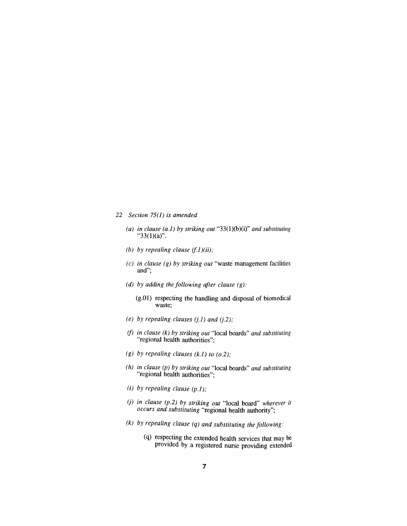#### *22 Section 75(1) is amended*

- *(a) in clause (a.1) by striking out "33(1)(b)(i)" and substituting "33(1)(a)".*
- *(b) by repealing clause (f.1)(ii);*
- *(c) in clause (g) by striking out "waste management facilities and";*
- *(d) by adding the following after clause (g);*
	- *(g.01) respecting the handling and disposal of biomedical waste;*
- *(e) by repealing clauses (j.1) and (j.2);*
- *(f) in clause (k) by striking out "local boards" and substituting "regional health authorities";*
- *(g) by repealing clauses (k.1) to (o.2);*
- *(h) in clause (p) by striking out "local boards" and substituting "regional health authorities";*
- *(i) by repealing clause (p.1);*
- *(j) in clause (p.2) by striking out "local board" wherever it occurs and substituting "regional health authority";*
- *(k) by repealing clause (q) and substituting the following:*
	- *(q) respecting the extended health services that may be provided by a registered nurse providing extended*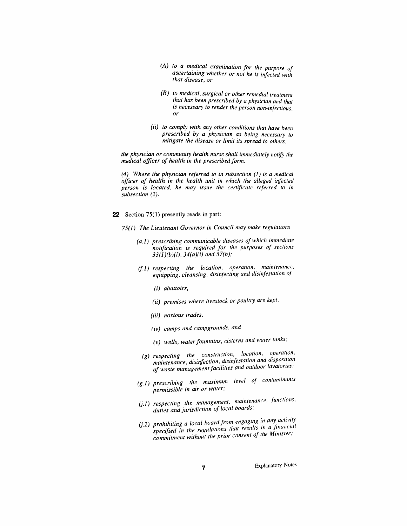- *(A) to a medical examination for the purpose of ascertaining whether or not he is infected with that disease, or*
- *(B) to medical, surgical or other remedial treatment that has been prescribed by a physician and that is necessary to render the person non-infectious, or*
- *(ii) to comply with any other conditions that have been prescribed by a physician as being necessary to mitigate the disease or limit its spread to others,*

*the physician or community health nurse shall immediately notify the medical officer of health in the prescribed form.*

*(4) Where the physician referred to in subsection (1) is a medical officer of health in the health unit in which the alleged infected person is located, he may issue the certificate referred to in subsection (2).*

- *22 Section 75(1) presently reads in part:*
	- *75(1) The Lieutenant Governor in Council may make regulations*
		- *(a.1) prescribing communicable diseases of which immediate notification is required for the purposes of sections 33(1)(b)(i), 34(a)(i) and 37(b);*
		- *(f.1) respecting the location, operation, maintenance, equipping, cleansing, disinfecting and disinfestation of*
			- *(i) abattoirs,*
			- *(ii) premises where livestock or poultry are kept,*
			- *(iii) noxious trades,*
			- *(iv) camps and campgrounds, and*
			- *(v) wells, water fountains, cisterns and water tanks;*
		- *(g) respecting the construction, location, operation, maintenance, disinfection, disinfestation and disposition of waste managementfacilities and outdoor lavatories;*
		- *(g.1) prescribing the maximum level of contaminants permissible in air or water;*
		- *(j.1) respecting the management, maintenance, functions, duties and jurisdiction of local boards,*
		- *(j.2) prohibiting a local board from engaging in specified in the regulations that commitment without the prior consent of the Minister:*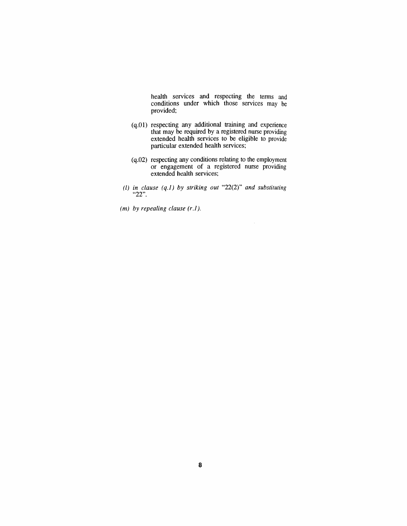*health services and respecting the terms and conditions under which those services may be provided;*

- *(q.01) respecting any additional training and experience that may be required by a registered nurse providing extended health services to be eligible to provide particular extended health services;*
- *(q.02) respecting any conditions relating to the employment or engagement of a registered nurse providing extended health services;*
- *(l) in clause (q.1) by striking out "22(2)" and substituting "22".*
- *(m) by repealing clause (r.1).*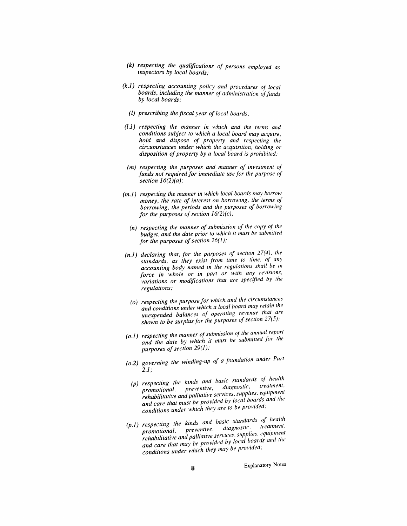- *(k) respecting the qualifications of persons employed as inspectors by local boards;*
- *(k.1) respecting accounting policy and procedures of local boards, including the manner of administration offunds by local boards;*
	- *(l) prescribing the fiscal year of local boards;*
- *(l.1) respecting the manner in which and the terms and conditions subject to which a local board may acquire, hold and dispose of property and respecting the circumstances under which the acquisition, holding or disposition of property by a local board is prohibited;*
- *(m) respecting the purposes and manner of investment of funds not required for immediate use for the purpose of section 16(2)(a);*
- *(m.1) respecting the manner in which local boards may borrow money, the rate of interest on borrowing, the terms of borrowing, the periods and the purposes of borrowing for the purposes of section*  $16(2)(c)$ ;
	- *(n) respecting the manner of submission of the copy of the budget, and the date prior to which it must be submitted for the purposes ofsection 26(1);*
- *(n.1) declaring that, for the purposes of section 27(4), the standards, as they exist from time to time, of any accounting body named in the regulations shall be in force in whole or in part or with any revisions, variations or modifications that are specified by the regulations;*
	- *(o) respecting the purpose for which and the circumstances and conditions under which a local board may retain the unexpended balances of operating revenue that are shown to be surplusfor the purposes ofsection 27(5);*
- *(o.1) respecting the manner ofsubmission of the annual report and the date by which it must be submitted for the purposes ofsection 29(1);*
- *(o.2) governing the winding-up of a foundation under Part 2.1;*
	- *(p) respecting the kinds and basic standards of health promotional, preventive, diagnostic, treatment, rehabilitative and palliative services, supplies, equipment and care that must be provided by local boards and the conditions under which they are to be provided;*
- (p.1) respecting the kinds and basic standards of health<br>promotional, preventive, diagnostic, treatment. promotional, preventive, augustac.<br>rehabilitative and palliative services, supplies, equipment<br>rehabilitative and palliative services, supplies, equipment rehabilitative and palliative services, supplies, equipment<br>and care that may be provided by local boards and the<br>they may be provided; and care that may be provided by local conditions under which they may be provided;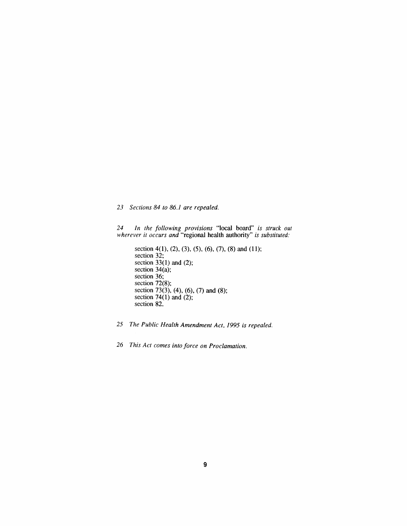*23 Sections 84 to 86.1 are repealed.*

*24 In the following provisions "local board" is struck out wherever it occurs and "regional health authority" is substituted:*

- *section 4(1), (2), (3), (5), (6), (7), (8) and (11); section 32; section 33(1) and (2); section 34(a); section 36; section 72(8); section 73(3), (4), (6), (7) and (8); section 74(1) and (2); section 82.*
- *25 The Public Health Amendment Act, 1995 is repealed.*
- *26 This Act comes into force on Proclamation.*